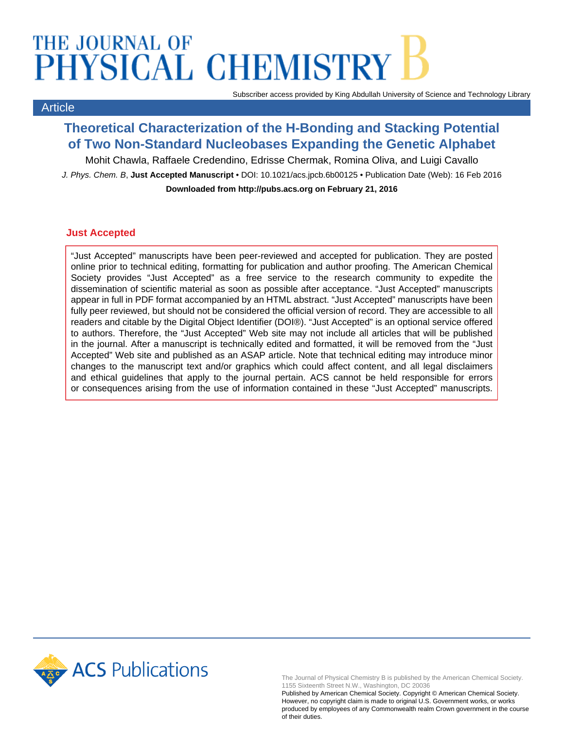# THE JOURNAL OF PHYSICAL CHEMISTRY

Article

Subscriber access provided by King Abdullah University of Science and Technology Library

### **Theoretical Characterization of the H-Bonding and Stacking Potential of Two Non-Standard Nucleobases Expanding the Genetic Alphabet**

Mohit Chawla, Raffaele Credendino, Edrisse Chermak, Romina Oliva, and Luigi Cavallo

J. Phys. Chem. B, **Just Accepted Manuscript** • DOI: 10.1021/acs.jpcb.6b00125 • Publication Date (Web): 16 Feb 2016 **Downloaded from http://pubs.acs.org on February 21, 2016**

#### **Just Accepted**

"Just Accepted" manuscripts have been peer-reviewed and accepted for publication. They are posted online prior to technical editing, formatting for publication and author proofing. The American Chemical Society provides "Just Accepted" as a free service to the research community to expedite the dissemination of scientific material as soon as possible after acceptance. "Just Accepted" manuscripts appear in full in PDF format accompanied by an HTML abstract. "Just Accepted" manuscripts have been fully peer reviewed, but should not be considered the official version of record. They are accessible to all readers and citable by the Digital Object Identifier (DOI®). "Just Accepted" is an optional service offered to authors. Therefore, the "Just Accepted" Web site may not include all articles that will be published in the journal. After a manuscript is technically edited and formatted, it will be removed from the "Just Accepted" Web site and published as an ASAP article. Note that technical editing may introduce minor changes to the manuscript text and/or graphics which could affect content, and all legal disclaimers and ethical guidelines that apply to the journal pertain. ACS cannot be held responsible for errors or consequences arising from the use of information contained in these "Just Accepted" manuscripts.



The Journal of Physical Chemistry B is published by the American Chemical Society. 1155 Sixteenth Street N.W., Washington, DC 20036

Published by American Chemical Society. Copyright © American Chemical Society. However, no copyright claim is made to original U.S. Government works, or works produced by employees of any Commonwealth realm Crown government in the course of their duties.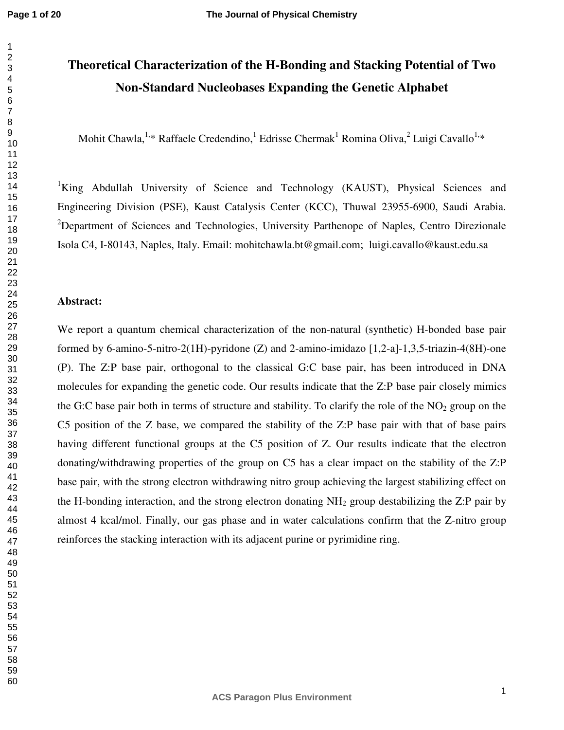## **Theoretical Characterization of the H-Bonding and Stacking Potential of Two Non-Standard Nucleobases Expanding the Genetic Alphabet**

Mohit Chawla, <sup>1,\*</sup> Raffaele Credendino, <sup>1</sup> Edrisse Chermak<sup>1</sup> Romina Oliva, <sup>2</sup> Luigi Cavallo<sup>1,\*</sup>

<sup>1</sup>King Abdullah University of Science and Technology (KAUST), Physical Sciences and Engineering Division (PSE), Kaust Catalysis Center (KCC), Thuwal 23955-6900, Saudi Arabia. Department of Sciences and Technologies, University Parthenope of Naples, Centro Direzionale Isola C4, I-80143, Naples, Italy. Email: mohitchawla.bt@gmail.com; luigi.cavallo@kaust.edu.sa

#### **Abstract:**

We report a quantum chemical characterization of the non-natural (synthetic) H-bonded base pair formed by 6-amino-5-nitro-2(1H)-pyridone (Z) and 2-amino-imidazo [1,2-a]-1,3,5-triazin-4(8H)-one (P). The Z:P base pair, orthogonal to the classical G:C base pair, has been introduced in DNA molecules for expanding the genetic code. Our results indicate that the Z:P base pair closely mimics the G:C base pair both in terms of structure and stability. To clarify the role of the  $NO<sub>2</sub>$  group on the C5 position of the Z base, we compared the stability of the Z:P base pair with that of base pairs having different functional groups at the C5 position of Z. Our results indicate that the electron donating/withdrawing properties of the group on C5 has a clear impact on the stability of the Z:P base pair, with the strong electron withdrawing nitro group achieving the largest stabilizing effect on the H-bonding interaction, and the strong electron donating  $NH_2$  group destabilizing the Z:P pair by almost 4 kcal/mol. Finally, our gas phase and in water calculations confirm that the Z-nitro group reinforces the stacking interaction with its adjacent purine or pyrimidine ring.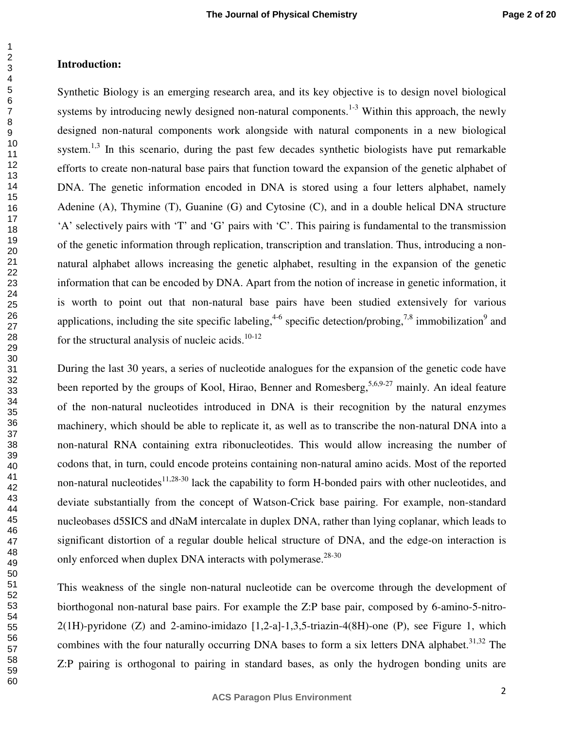#### **Introduction:**

Synthetic Biology is an emerging research area, and its key objective is to design novel biological systems by introducing newly designed non-natural components.<sup>1-3</sup> Within this approach, the newly designed non-natural components work alongside with natural components in a new biological system. $1,3$  In this scenario, during the past few decades synthetic biologists have put remarkable efforts to create non-natural base pairs that function toward the expansion of the genetic alphabet of DNA. The genetic information encoded in DNA is stored using a four letters alphabet, namely Adenine (A), Thymine (T), Guanine (G) and Cytosine (C), and in a double helical DNA structure 'A' selectively pairs with 'T' and 'G' pairs with 'C'. This pairing is fundamental to the transmission of the genetic information through replication, transcription and translation. Thus, introducing a nonnatural alphabet allows increasing the genetic alphabet, resulting in the expansion of the genetic information that can be encoded by DNA. Apart from the notion of increase in genetic information, it is worth to point out that non-natural base pairs have been studied extensively for various applications, including the site specific labeling,  $4-6$  specific detection/probing,  $7.8$  immobilization  $9$  and for the structural analysis of nucleic acids. $10-12$ 

During the last 30 years, a series of nucleotide analogues for the expansion of the genetic code have been reported by the groups of Kool, Hirao, Benner and Romesberg,  $5,6,9-27$  mainly. An ideal feature of the non-natural nucleotides introduced in DNA is their recognition by the natural enzymes machinery, which should be able to replicate it, as well as to transcribe the non-natural DNA into a non-natural RNA containing extra ribonucleotides. This would allow increasing the number of codons that, in turn, could encode proteins containing non-natural amino acids. Most of the reported non-natural nucleotides<sup>11,28-30</sup> lack the capability to form H-bonded pairs with other nucleotides, and deviate substantially from the concept of Watson-Crick base pairing. For example, non-standard nucleobases d5SICS and dNaM intercalate in duplex DNA, rather than lying coplanar, which leads to significant distortion of a regular double helical structure of DNA, and the edge-on interaction is only enforced when duplex DNA interacts with polymerase. $28-30$ 

This weakness of the single non-natural nucleotide can be overcome through the development of biorthogonal non-natural base pairs. For example the Z:P base pair, composed by 6-amino-5-nitro- $2(1H)$ -pyridone (Z) and 2-amino-imidazo  $[1,2-a]$ -1,3,5-triazin-4(8H)-one (P), see Figure 1, which combines with the four naturally occurring DNA bases to form a six letters DNA alphabet.<sup>31,32</sup> The Z:P pairing is orthogonal to pairing in standard bases, as only the hydrogen bonding units are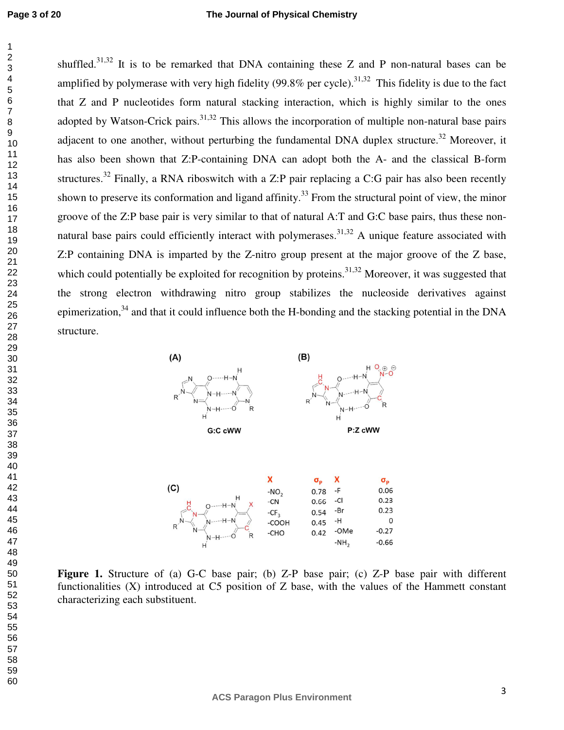shuffled.<sup>31,32</sup> It is to be remarked that DNA containing these Z and P non-natural bases can be amplified by polymerase with very high fidelity (99.8% per cycle).<sup>31,32</sup> This fidelity is due to the fact that Z and P nucleotides form natural stacking interaction, which is highly similar to the ones adopted by Watson-Crick pairs.  $31,32$  This allows the incorporation of multiple non-natural base pairs adjacent to one another, without perturbing the fundamental DNA duplex structure.<sup>32</sup> Moreover, it has also been shown that Z:P-containing DNA can adopt both the A- and the classical B-form structures.<sup>32</sup> Finally, a RNA riboswitch with a Z:P pair replacing a C:G pair has also been recently shown to preserve its conformation and ligand affinity.<sup>33</sup> From the structural point of view, the minor groove of the Z:P base pair is very similar to that of natural A:T and G:C base pairs, thus these nonnatural base pairs could efficiently interact with polymerases.<sup>31,32</sup> A unique feature associated with Z:P containing DNA is imparted by the Z-nitro group present at the major groove of the Z base, which could potentially be exploited for recognition by proteins.<sup>31,32</sup> Moreover, it was suggested that the strong electron withdrawing nitro group stabilizes the nucleoside derivatives against epimerization, and that it could influence both the H-bonding and the stacking potential in the DNA structure.



| $\sim$  | $-NO2$ | 0.78 | - 11    | U.UO    |
|---------|--------|------|---------|---------|
| $--H-N$ | $-CN$  | 0.66 | -Cl     | 0.23    |
| $-$     | $-CF2$ | 0.54 | -Br     | 0.23    |
|         | -COOH  | 0.45 | -H      |         |
|         | -CHO   | 0.42 | -OMe    | $-0.27$ |
|         |        |      | $-NH_2$ | $-0.66$ |
|         |        |      |         |         |

Figure 1. Structure of (a) G-C base pair; (b) Z-P base pair; (c) Z-P base pair with different functionalities (X) introduced at C5 position of Z base, with the values of the Hammett constant characterizing each substituent.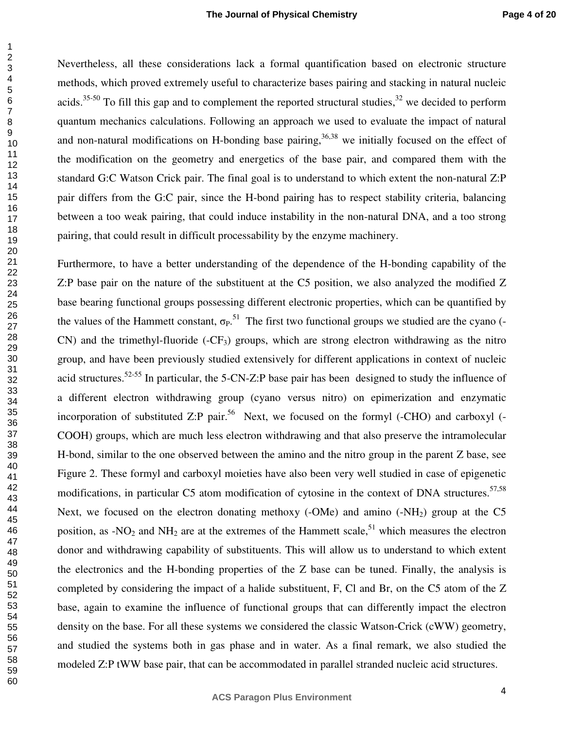Nevertheless, all these considerations lack a formal quantification based on electronic structure methods, which proved extremely useful to characterize bases pairing and stacking in natural nucleic acids.<sup>35-50</sup> To fill this gap and to complement the reported structural studies,<sup>32</sup> we decided to perform quantum mechanics calculations. Following an approach we used to evaluate the impact of natural and non-natural modifications on H-bonding base pairing,  $36,38$  we initially focused on the effect of the modification on the geometry and energetics of the base pair, and compared them with the standard G:C Watson Crick pair. The final goal is to understand to which extent the non-natural Z:P pair differs from the G:C pair, since the H-bond pairing has to respect stability criteria, balancing between a too weak pairing, that could induce instability in the non-natural DNA, and a too strong pairing, that could result in difficult processability by the enzyme machinery.

Furthermore, to have a better understanding of the dependence of the H-bonding capability of the Z:P base pair on the nature of the substituent at the C5 position, we also analyzed the modified Z base bearing functional groups possessing different electronic properties, which can be quantified by the values of the Hammett constant,  $\sigma_{P}$ <sup>51</sup>. The first two functional groups we studied are the cyano (- $CN$ ) and the trimethyl-fluoride (- $CF_3$ ) groups, which are strong electron withdrawing as the nitro group, and have been previously studied extensively for different applications in context of nucleic acid structures.52-55 In particular, the 5-CN-Z:P base pair has been designed to study the influence of a different electron withdrawing group (cyano versus nitro) on epimerization and enzymatic incorporation of substituted Z:P pair.<sup>56</sup> Next, we focused on the formyl (-CHO) and carboxyl (-COOH) groups, which are much less electron withdrawing and that also preserve the intramolecular H-bond, similar to the one observed between the amino and the nitro group in the parent Z base, see Figure 2. These formyl and carboxyl moieties have also been very well studied in case of epigenetic modifications, in particular C5 atom modification of cytosine in the context of DNA structures.<sup>57,58</sup> Next, we focused on the electron donating methoxy (-OMe) and amino  $(-NH<sub>2</sub>)$  group at the C5 position, as -NO<sub>2</sub> and NH<sub>2</sub> are at the extremes of the Hammett scale,<sup>51</sup> which measures the electron donor and withdrawing capability of substituents. This will allow us to understand to which extent the electronics and the H-bonding properties of the Z base can be tuned. Finally, the analysis is completed by considering the impact of a halide substituent, F, Cl and Br, on the C5 atom of the Z base, again to examine the influence of functional groups that can differently impact the electron density on the base. For all these systems we considered the classic Watson-Crick (cWW) geometry, and studied the systems both in gas phase and in water. As a final remark, we also studied the modeled Z:P tWW base pair, that can be accommodated in parallel stranded nucleic acid structures.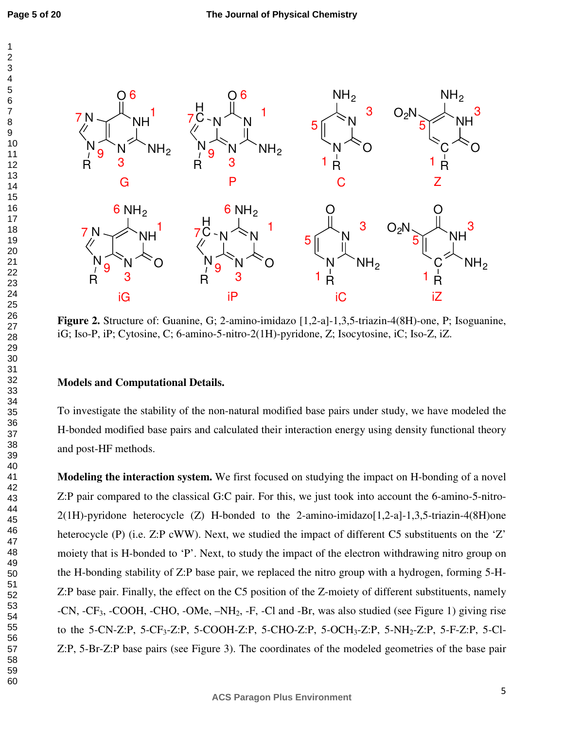

**Figure 2.** Structure of: Guanine, G; 2-amino-imidazo [1,2-a]-1,3,5-triazin-4(8H)-one, P; Isoguanine, iG; Iso-P, iP; Cytosine, C; 6-amino-5-nitro-2(1H)-pyridone, Z; Isocytosine, iC; Iso-Z, iZ.

#### **Models and Computational Details.**

To investigate the stability of the non-natural modified base pairs under study, we have modeled the H-bonded modified base pairs and calculated their interaction energy using density functional theory and post-HF methods.

**Modeling the interaction system.** We first focused on studying the impact on H-bonding of a novel Z:P pair compared to the classical G:C pair. For this, we just took into account the 6-amino-5-nitro-2(1H)-pyridone heterocycle (Z) H-bonded to the 2-amino-imidazo[1,2-a]-1,3,5-triazin-4(8H)one heterocycle (P) (i.e. Z:P cWW). Next, we studied the impact of different C5 substituents on the 'Z' moiety that is H-bonded to 'P'. Next, to study the impact of the electron withdrawing nitro group on the H-bonding stability of Z:P base pair, we replaced the nitro group with a hydrogen, forming 5-H-Z:P base pair. Finally, the effect on the C5 position of the Z-moiety of different substituents, namely -CN, -CF3, -COOH, -CHO, -OMe, –NH2, -F, -Cl and -Br, was also studied (see Figure 1) giving rise to the 5-CN-Z:P, 5-CF<sub>3</sub>-Z:P, 5-COOH-Z:P, 5-CHO-Z:P, 5-OCH<sub>3</sub>-Z:P, 5-NH<sub>2</sub>-Z:P, 5-F-Z:P, 5-Cl-Z:P, 5-Br-Z:P base pairs (see Figure 3). The coordinates of the modeled geometries of the base pair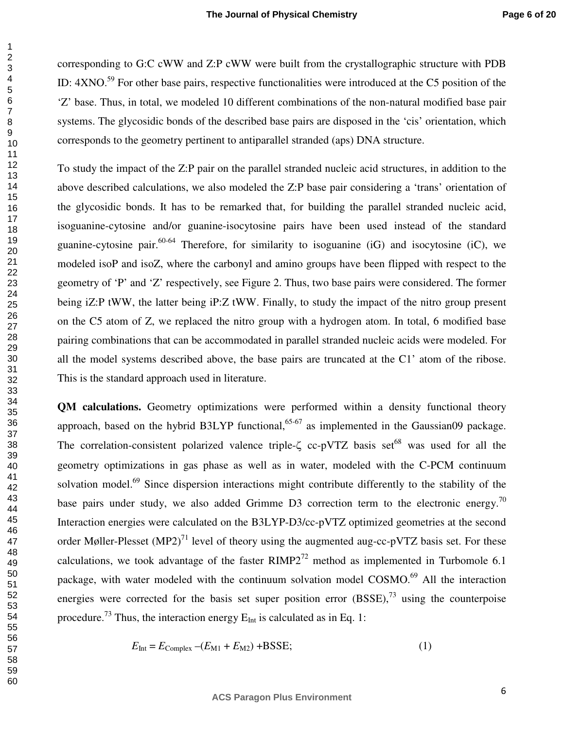corresponding to G:C cWW and Z:P cWW were built from the crystallographic structure with PDB ID:  $4XNO^{59}$  For other base pairs, respective functionalities were introduced at the C5 position of the 'Z' base. Thus, in total, we modeled 10 different combinations of the non-natural modified base pair systems. The glycosidic bonds of the described base pairs are disposed in the 'cis' orientation, which corresponds to the geometry pertinent to antiparallel stranded (aps) DNA structure.

To study the impact of the Z:P pair on the parallel stranded nucleic acid structures, in addition to the above described calculations, we also modeled the Z:P base pair considering a 'trans' orientation of the glycosidic bonds. It has to be remarked that, for building the parallel stranded nucleic acid, isoguanine-cytosine and/or guanine-isocytosine pairs have been used instead of the standard guanine-cytosine pair.  $60-64$  Therefore, for similarity to isoguanine (iG) and isocytosine (iC), we modeled isoP and isoZ, where the carbonyl and amino groups have been flipped with respect to the geometry of 'P' and 'Z' respectively, see Figure 2. Thus, two base pairs were considered. The former being iZ:P tWW, the latter being iP:Z tWW. Finally, to study the impact of the nitro group present on the C5 atom of Z, we replaced the nitro group with a hydrogen atom. In total, 6 modified base pairing combinations that can be accommodated in parallel stranded nucleic acids were modeled. For all the model systems described above, the base pairs are truncated at the C1' atom of the ribose. This is the standard approach used in literature.

**QM calculations.** Geometry optimizations were performed within a density functional theory approach, based on the hybrid B3LYP functional,  $65-67$  as implemented in the Gaussian09 package. The correlation-consistent polarized valence triple- $\zeta$  cc-pVTZ basis set<sup>68</sup> was used for all the geometry optimizations in gas phase as well as in water, modeled with the C-PCM continuum solvation model.<sup>69</sup> Since dispersion interactions might contribute differently to the stability of the base pairs under study, we also added Grimme D3 correction term to the electronic energy.<sup>70</sup> Interaction energies were calculated on the B3LYP-D3/cc-pVTZ optimized geometries at the second order Møller-Plesset  $(MP2)^{71}$  level of theory using the augmented aug-cc-pVTZ basis set. For these calculations, we took advantage of the faster  $RIMP2^{72}$  method as implemented in Turbomole 6.1 package, with water modeled with the continuum solvation model COSMO.<sup>69</sup> All the interaction energies were corrected for the basis set super position error  $(BSSE)$ ,  $73$  using the counterpoise procedure.<sup>73</sup> Thus, the interaction energy  $E_{\text{Int}}$  is calculated as in Eq. 1:

$$
E_{\text{Int}} = E_{\text{Complex}} - (E_{\text{M1}} + E_{\text{M2}}) + \text{BSSE};\tag{1}
$$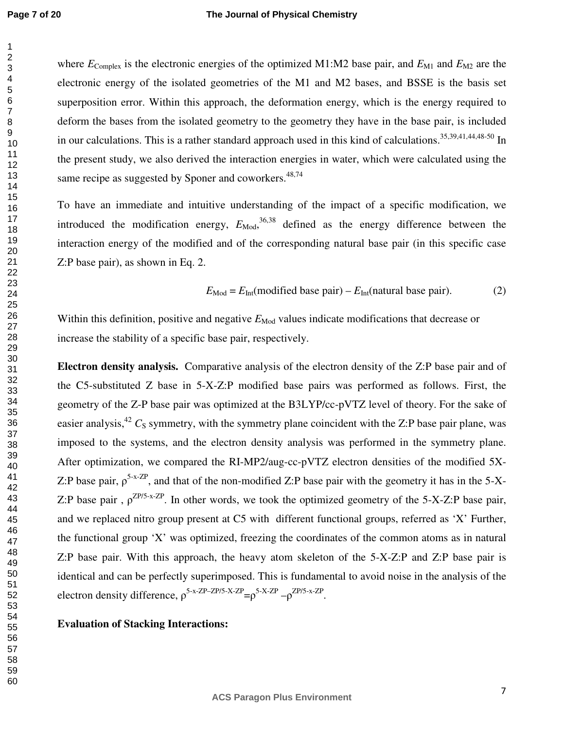where  $E_{\text{Complex}}$  is the electronic energies of the optimized M1:M2 base pair, and  $E_{\text{M1}}$  and  $E_{\text{M2}}$  are the electronic energy of the isolated geometries of the M1 and M2 bases, and BSSE is the basis set superposition error. Within this approach, the deformation energy, which is the energy required to deform the bases from the isolated geometry to the geometry they have in the base pair, is included in our calculations. This is a rather standard approach used in this kind of calculations.<sup>35,39,41,44,48-50</sup> In the present study, we also derived the interaction energies in water, which were calculated using the same recipe as suggested by Sponer and coworkers.<sup>48,74</sup>

To have an immediate and intuitive understanding of the impact of a specific modification, we introduced the modification energy,  $E_{\text{Mod}}$ ,  $^{36,38}$  defined as the energy difference between the interaction energy of the modified and of the corresponding natural base pair (in this specific case Z:P base pair), as shown in Eq. 2.

$$
E_{\text{Mod}} = E_{\text{Int}}(\text{modified base pair}) - E_{\text{Int}}(\text{natural base pair}).\tag{2}
$$

Within this definition, positive and negative  $E_{\text{Mod}}$  values indicate modifications that decrease or increase the stability of a specific base pair, respectively.

**Electron density analysis.** Comparative analysis of the electron density of the Z:P base pair and of the C5-substituted Z base in 5-X-Z:P modified base pairs was performed as follows. First, the geometry of the Z-P base pair was optimized at the B3LYP/cc-pVTZ level of theory. For the sake of easier analysis,<sup>42</sup>  $C_S$  symmetry, with the symmetry plane coincident with the Z:P base pair plane, was imposed to the systems, and the electron density analysis was performed in the symmetry plane. After optimization, we compared the RI-MP2/aug-cc-pVTZ electron densities of the modified 5X-Z:P base pair,  $\rho^{5-x-ZP}$ , and that of the non-modified Z:P base pair with the geometry it has in the 5-X-Z:P base pair,  $\rho^{ZP/S-x-ZP}$ . In other words, we took the optimized geometry of the 5-X-Z:P base pair, and we replaced nitro group present at C5 with different functional groups, referred as 'X' Further, the functional group 'X' was optimized, freezing the coordinates of the common atoms as in natural Z:P base pair. With this approach, the heavy atom skeleton of the 5-X-Z:P and Z:P base pair is identical and can be perfectly superimposed. This is fundamental to avoid noise in the analysis of the electron density difference,  $\rho^{5-x-ZP-ZP/5-X-ZP} = \rho^{5-X-ZP} - \rho^{ZP/5-x-ZP}$ .

**Evaluation of Stacking Interactions:**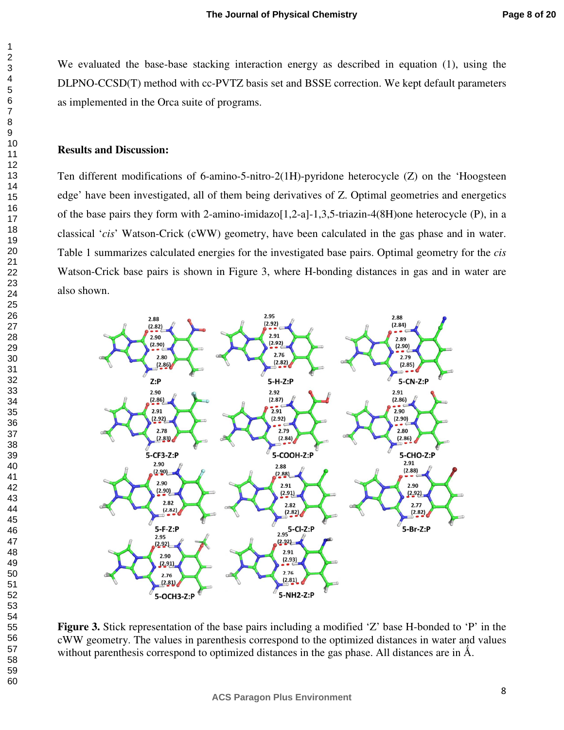We evaluated the base-base stacking interaction energy as described in equation (1), using the DLPNO-CCSD(T) method with cc-PVTZ basis set and BSSE correction. We kept default parameters as implemented in the Orca suite of programs.

#### **Results and Discussion:**

Ten different modifications of 6-amino-5-nitro-2(1H)-pyridone heterocycle (Z) on the 'Hoogsteen edge' have been investigated, all of them being derivatives of Z. Optimal geometries and energetics of the base pairs they form with 2-amino-imidazo $[1,2-a]$ -1,3,5-triazin-4(8H)one heterocycle (P), in a classical '*cis*' Watson-Crick (cWW) geometry, have been calculated in the gas phase and in water. Table 1 summarizes calculated energies for the investigated base pairs. Optimal geometry for the *cis* Watson-Crick base pairs is shown in Figure 3, where H-bonding distances in gas and in water are also shown.



**Figure 3.** Stick representation of the base pairs including a modified 'Z' base H-bonded to 'P' in the cWW geometry. The values in parenthesis correspond to the optimized distances in water and values without parenthesis correspond to optimized distances in the gas phase. All distances are in  $\AA$ .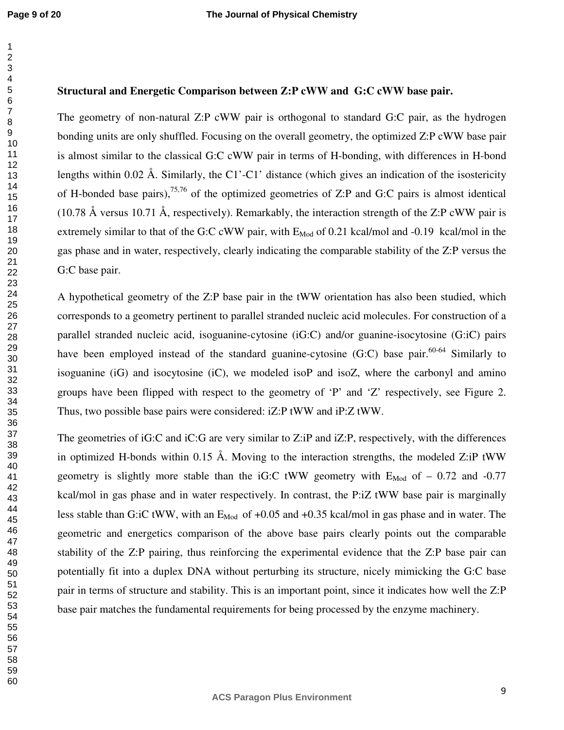#### **Structural and Energetic Comparison between Z:P cWW and G:C cWW base pair.**

The geometry of non-natural Z:P cWW pair is orthogonal to standard G:C pair, as the hydrogen bonding units are only shuffled. Focusing on the overall geometry, the optimized Z:P cWW base pair is almost similar to the classical G:C cWW pair in terms of H-bonding, with differences in H-bond lengths within 0.02 Å. Similarly, the C1'-C1' distance (which gives an indication of the isostericity of H-bonded base pairs),  $75,76$  of the optimized geometries of Z:P and G:C pairs is almost identical (10.78 Å versus 10.71 Å, respectively). Remarkably, the interaction strength of the Z:P cWW pair is extremely similar to that of the G:C cWW pair, with  $E_{Mod}$  of 0.21 kcal/mol and -0.19 kcal/mol in the gas phase and in water, respectively, clearly indicating the comparable stability of the Z:P versus the G:C base pair.

A hypothetical geometry of the Z:P base pair in the tWW orientation has also been studied, which corresponds to a geometry pertinent to parallel stranded nucleic acid molecules. For construction of a parallel stranded nucleic acid, isoguanine-cytosine (iG:C) and/or guanine-isocytosine (G:iC) pairs have been employed instead of the standard guanine-cytosine  $(G:C)$  base pair.<sup>60-64</sup> Similarly to isoguanine  $(iG)$  and isocytosine  $(iC)$ , we modeled isoP and isoZ, where the carbonyl and amino groups have been flipped with respect to the geometry of 'P' and 'Z' respectively, see Figure 2. Thus, two possible base pairs were considered: iZ:P tWW and iP:Z tWW.

The geometries of iG:C and iC:G are very similar to Z:iP and iZ:P, respectively, with the differences in optimized H-bonds within 0.15 Å. Moving to the interaction strengths, the modeled  $Z$ :iP tWW geometry is slightly more stable than the iG:C tWW geometry with  $E_{Mod}$  of  $-0.72$  and  $-0.77$ kcal/mol in gas phase and in water respectively. In contrast, the P:iZ tWW base pair is marginally less stable than G:iC tWW, with an  $E_{Mod}$  of +0.05 and +0.35 kcal/mol in gas phase and in water. The geometric and energetics comparison of the above base pairs clearly points out the comparable stability of the Z:P pairing, thus reinforcing the experimental evidence that the Z:P base pair can potentially fit into a duplex DNA without perturbing its structure, nicely mimicking the G:C base pair in terms of structure and stability. This is an important point, since it indicates how well the Z:P base pair matches the fundamental requirements for being processed by the enzyme machinery.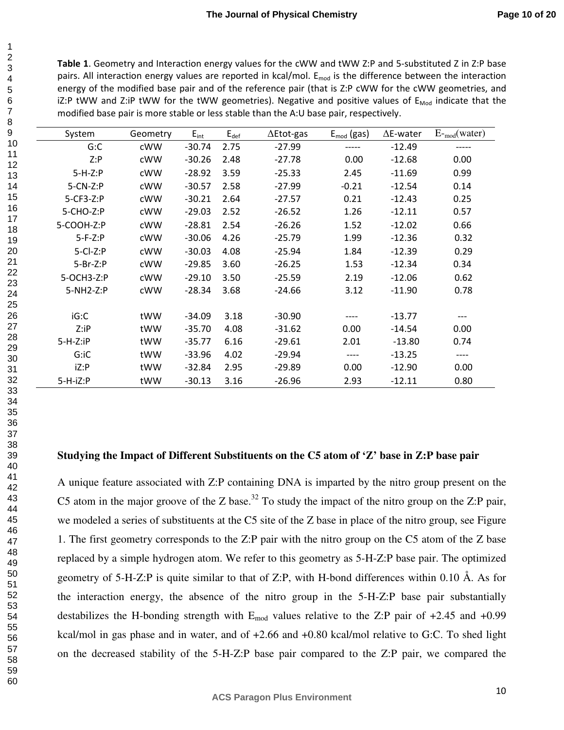**Table 1**. Geometry and Interaction energy values for the cWW and tWW Z:P and 5-substituted Z in Z:P base pairs. All interaction energy values are reported in kcal/mol.  $E_{mod}$  is the difference between the interaction energy of the modified base pair and of the reference pair (that is Z:P cWW for the cWW geometries, and iZ:P tWW and Z:iP tWW for the tWW geometries). Negative and positive values of  $E_{Mod}$  indicate that the modified base pair is more stable or less stable than the A:U base pair, respectively.

| System          | Geometry | $E_{int}$ | $E_{def}$ | $\Delta$ Etot-gas | $E_{mod}$ (gas) | $\Delta$ E-water | $E_{\text{mod}}(water)$ |
|-----------------|----------|-----------|-----------|-------------------|-----------------|------------------|-------------------------|
| G:C             | cWW      | $-30.74$  | 2.75      | $-27.99$          | -----           | $-12.49$         | -----                   |
| Z: P            | cWW      | $-30.26$  | 2.48      | $-27.78$          | 0.00            | $-12.68$         | 0.00                    |
| $5-H-Z:P$       | cWW      | $-28.92$  | 3.59      | $-25.33$          | 2.45            | $-11.69$         | 0.99                    |
| $5$ -CN-Z:P     | cWW      | $-30.57$  | 2.58      | $-27.99$          | $-0.21$         | $-12.54$         | 0.14                    |
| 5-CF3-Z:P       | cWW      | $-30.21$  | 2.64      | $-27.57$          | 0.21            | $-12.43$         | 0.25                    |
| 5-CHO-Z:P       | cWW      | $-29.03$  | 2.52      | $-26.52$          | 1.26            | $-12.11$         | 0.57                    |
| 5-COOH-Z:P      | cWW      | $-28.81$  | 2.54      | $-26.26$          | 1.52            | $-12.02$         | 0.66                    |
| $5-F-Z:P$       | cWW      | $-30.06$  | 4.26      | $-25.79$          | 1.99            | $-12.36$         | 0.32                    |
| $5 - CI - Z: P$ | cWW      | $-30.03$  | 4.08      | $-25.94$          | 1.84            | $-12.39$         | 0.29                    |
| $5-Br-Z:P$      | cWW      | $-29.85$  | 3.60      | $-26.25$          | 1.53            | $-12.34$         | 0.34                    |
| 5-OCH3-Z:P      | cWW      | $-29.10$  | 3.50      | $-25.59$          | 2.19            | $-12.06$         | 0.62                    |
| 5-NH2-Z:P       | cWW      | $-28.34$  | 3.68      | $-24.66$          | 3.12            | $-11.90$         | 0.78                    |
|                 |          |           |           |                   |                 |                  |                         |
| iG:C            | tWW      | $-34.09$  | 3.18      | $-30.90$          |                 | $-13.77$         | ---                     |
| Z:IP            | tWW      | $-35.70$  | 4.08      | $-31.62$          | 0.00            | $-14.54$         | 0.00                    |
| $5-H-Z$ :iP     | tWW      | $-35.77$  | 6.16      | $-29.61$          | 2.01            | $-13.80$         | 0.74                    |
| G:iC            | tWW      | $-33.96$  | 4.02      | $-29.94$          | ----            | $-13.25$         | ----                    |
| iZ:P            | tWW      | $-32.84$  | 2.95      | $-29.89$          | 0.00            | $-12.90$         | 0.00                    |
| $5-H-iZ$ :P     | tWW      | $-30.13$  | 3.16      | $-26.96$          | 2.93            | $-12.11$         | 0.80                    |

#### **Studying the Impact of Different Substituents on the C5 atom of 'Z' base in Z:P base pair**

A unique feature associated with Z:P containing DNA is imparted by the nitro group present on the C5 atom in the major groove of the Z base.<sup>32</sup> To study the impact of the nitro group on the Z:P pair, we modeled a series of substituents at the C5 site of the Z base in place of the nitro group, see Figure 1. The first geometry corresponds to the Z:P pair with the nitro group on the C5 atom of the Z base replaced by a simple hydrogen atom. We refer to this geometry as 5-H-Z:P base pair. The optimized geometry of 5-H-Z:P is quite similar to that of Z:P, with H-bond differences within 0.10 Å. As for the interaction energy, the absence of the nitro group in the 5-H-Z:P base pair substantially destabilizes the H-bonding strength with  $E_{mod}$  values relative to the Z:P pair of  $+2.45$  and  $+0.99$ kcal/mol in gas phase and in water, and of +2.66 and +0.80 kcal/mol relative to G:C. To shed light on the decreased stability of the 5-H-Z:P base pair compared to the Z:P pair, we compared the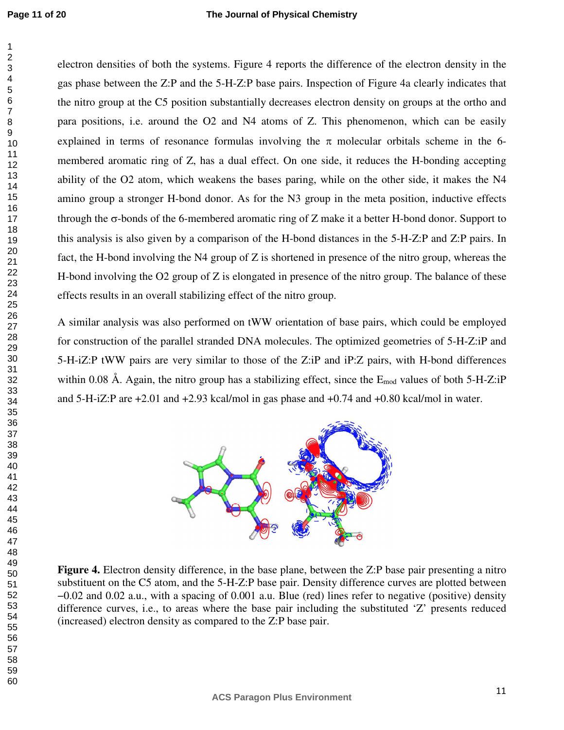electron densities of both the systems. Figure 4 reports the difference of the electron density in the gas phase between the Z:P and the 5-H-Z:P base pairs. Inspection of Figure 4a clearly indicates that the nitro group at the C5 position substantially decreases electron density on groups at the ortho and para positions, i.e. around the O2 and N4 atoms of Z. This phenomenon, which can be easily explained in terms of resonance formulas involving the  $\pi$  molecular orbitals scheme in the 6membered aromatic ring of Z, has a dual effect. On one side, it reduces the H-bonding accepting ability of the O2 atom, which weakens the bases paring, while on the other side, it makes the N4 amino group a stronger H-bond donor. As for the N3 group in the meta position, inductive effects through the σ-bonds of the 6-membered aromatic ring of Z make it a better H-bond donor. Support to this analysis is also given by a comparison of the H-bond distances in the 5-H-Z:P and Z:P pairs. In fact, the H-bond involving the N4 group of Z is shortened in presence of the nitro group, whereas the H-bond involving the O2 group of Z is elongated in presence of the nitro group. The balance of these effects results in an overall stabilizing effect of the nitro group.

A similar analysis was also performed on tWW orientation of base pairs, which could be employed for construction of the parallel stranded DNA molecules. The optimized geometries of 5-H-Z:iP and 5-H-iZ:P tWW pairs are very similar to those of the Z:iP and iP:Z pairs, with H-bond differences within 0.08 Å. Again, the nitro group has a stabilizing effect, since the  $E_{mod}$  values of both 5-H-Z:iP and 5-H-iZ:P are +2.01 and +2.93 kcal/mol in gas phase and +0.74 and +0.80 kcal/mol in water.

![](_page_11_Figure_5.jpeg)

**Figure 4.** Electron density difference, in the base plane, between the Z:P base pair presenting a nitro substituent on the C5 atom, and the 5-H-Z:P base pair. Density difference curves are plotted between −0.02 and 0.02 a.u., with a spacing of 0.001 a.u. Blue (red) lines refer to negative (positive) density difference curves, i.e., to areas where the base pair including the substituted 'Z' presents reduced (increased) electron density as compared to the Z:P base pair.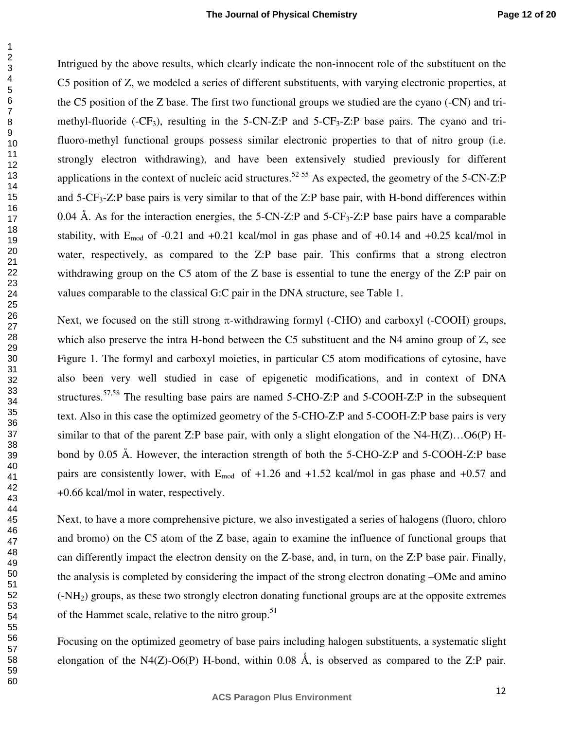Intrigued by the above results, which clearly indicate the non-innocent role of the substituent on the C5 position of Z, we modeled a series of different substituents, with varying electronic properties, at the C5 position of the Z base. The first two functional groups we studied are the cyano (-CN) and trimethyl-fluoride (-CF<sub>3</sub>), resulting in the 5-CN-Z:P and 5-CF<sub>3</sub>-Z:P base pairs. The cyano and trifluoro-methyl functional groups possess similar electronic properties to that of nitro group (i.e. strongly electron withdrawing), and have been extensively studied previously for different applications in the context of nucleic acid structures.<sup>52-55</sup> As expected, the geometry of the 5-CN-Z:P and 5-CF3-Z:P base pairs is very similar to that of the Z:P base pair, with H-bond differences within 0.04 Å. As for the interaction energies, the 5-CN-Z:P and -CF<sub>3</sub>-Z:P base pairs have a comparable stability, with  $E_{mod}$  of -0.21 and +0.21 kcal/mol in gas phase and of +0.14 and +0.25 kcal/mol in water, respectively, as compared to the Z:P base pair. This confirms that a strong electron withdrawing group on the C5 atom of the Z base is essential to tune the energy of the Z:P pair on values comparable to the classical G:C pair in the DNA structure, see Table 1.

Next, we focused on the still strong  $\pi$ -withdrawing formyl (-CHO) and carboxyl (-COOH) groups, which also preserve the intra H-bond between the C5 substituent and the N4 amino group of Z, see Figure 1. The formyl and carboxyl moieties, in particular C5 atom modifications of cytosine, have also been very well studied in case of epigenetic modifications, and in context of DNA structures.<sup>57,58</sup> The resulting base pairs are named 5-CHO-Z:P and 5-COOH-Z:P in the subsequent text. Also in this case the optimized geometry of the 5-CHO-Z:P and 5-COOH-Z:P base pairs is very similar to that of the parent Z:P base pair, with only a slight elongation of the N4-H(Z)…O6(P) Hbond by 0.05 Å. However, the interaction strength of both the 5-CHO-Z:P and 5-COOH-Z:P base pairs are consistently lower, with  $E_{mod}$  of +1.26 and +1.52 kcal/mol in gas phase and +0.57 and +0.66 kcal/mol in water, respectively.

Next, to have a more comprehensive picture, we also investigated a series of halogens (fluoro, chloro and bromo) on the C5 atom of the Z base, again to examine the influence of functional groups that can differently impact the electron density on the Z-base, and, in turn, on the Z:P base pair. Finally, the analysis is completed by considering the impact of the strong electron donating –OMe and amino (-NH2) groups, as these two strongly electron donating functional groups are at the opposite extremes of the Hammet scale, relative to the nitro group.<sup>51</sup>

Focusing on the optimized geometry of base pairs including halogen substituents, a systematic slight elongation of the N4(Z)-O6(P) H-bond, within 0.08 Å, is observed as compared to the Z:P pair.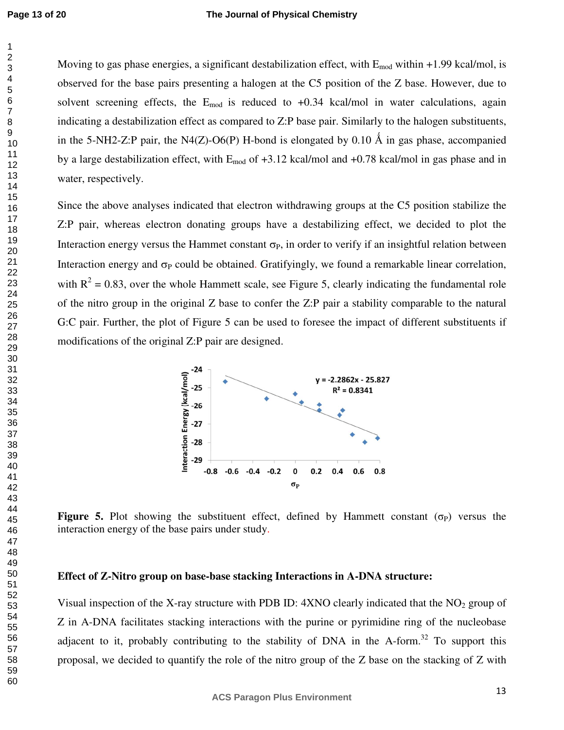#### **The Journal of Physical Chemistry**

Moving to gas phase energies, a significant destabilization effect, with  $E_{mod}$  within +1.99 kcal/mol, is observed for the base pairs presenting a halogen at the C5 position of the Z base. However, due to solvent screening effects, the  $E_{mod}$  is reduced to  $+0.34$  kcal/mol in water calculations, again indicating a destabilization effect as compared to Z:P base pair. Similarly to the halogen substituents, in the 5-NH2-Z:P pair, the N4(Z)-O6(P) H-bond is elongated by 0.10 Å in gas phase, accompanied by a large destabilization effect, with  $E_{mod}$  of  $+3.12$  kcal/mol and  $+0.78$  kcal/mol in gas phase and in water, respectively.

Since the above analyses indicated that electron withdrawing groups at the C5 position stabilize the Z:P pair, whereas electron donating groups have a destabilizing effect, we decided to plot the Interaction energy versus the Hammet constant  $\sigma_P$ , in order to verify if an insightful relation between Interaction energy and  $\sigma_P$  could be obtained. Gratifyingly, we found a remarkable linear correlation, with  $R^2 = 0.83$ , over the whole Hammett scale, see Figure 5, clearly indicating the fundamental role of the nitro group in the original Z base to confer the Z:P pair a stability comparable to the natural G:C pair. Further, the plot of Figure 5 can be used to foresee the impact of different substituents if modifications of the original Z:P pair are designed.

![](_page_13_Figure_4.jpeg)

**Figure 5.** Plot showing the substituent effect, defined by Hammett constant  $(\sigma_P)$  versus the interaction energy of the base pairs under study.

#### **Effect of Z-Nitro group on base-base stacking Interactions in A-DNA structure:**

Visual inspection of the X-ray structure with PDB ID:  $4XNO$  clearly indicated that the NO<sub>2</sub> group of Z in A-DNA facilitates stacking interactions with the purine or pyrimidine ring of the nucleobase adjacent to it, probably contributing to the stability of DNA in the A-form.<sup>32</sup> To support this proposal, we decided to quantify the role of the nitro group of the Z base on the stacking of Z with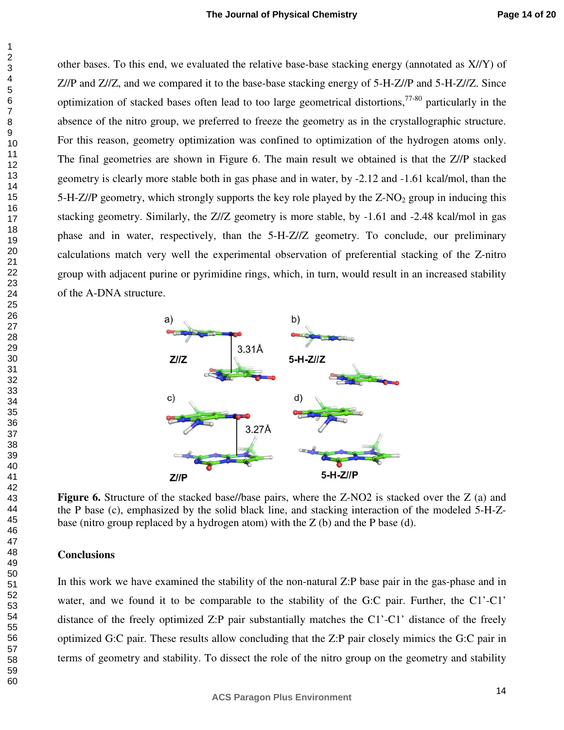other bases. To this end, we evaluated the relative base-base stacking energy (annotated as X//Y) of Z//P and Z//Z, and we compared it to the base-base stacking energy of 5-H-Z//P and 5-H-Z//Z. Since optimization of stacked bases often lead to too large geometrical distortions,  $77-80$  particularly in the absence of the nitro group, we preferred to freeze the geometry as in the crystallographic structure. For this reason, geometry optimization was confined to optimization of the hydrogen atoms only. The final geometries are shown in Figure 6. The main result we obtained is that the Z//P stacked geometry is clearly more stable both in gas phase and in water, by -2.12 and -1.61 kcal/mol, than the 5-H- $Z/\text{P}$  geometry, which strongly supports the key role played by the  $Z-NO<sub>2</sub>$  group in inducing this stacking geometry. Similarly, the Z//Z geometry is more stable, by -1.61 and -2.48 kcal/mol in gas phase and in water, respectively, than the 5-H-Z//Z geometry. To conclude, our preliminary calculations match very well the experimental observation of preferential stacking of the Z-nitro group with adjacent purine or pyrimidine rings, which, in turn, would result in an increased stability of the A-DNA structure.

![](_page_14_Figure_3.jpeg)

**Figure 6.** Structure of the stacked base//base pairs, where the Z-NO2 is stacked over the Z (a) and the P base (c), emphasized by the solid black line, and stacking interaction of the modeled 5-H-Zbase (nitro group replaced by a hydrogen atom) with the  $Z$  (b) and the P base (d).

#### **Conclusions**

In this work we have examined the stability of the non-natural Z:P base pair in the gas-phase and in water, and we found it to be comparable to the stability of the G:C pair. Further, the C1'-C1' distance of the freely optimized Z:P pair substantially matches the C1'-C1' distance of the freely optimized G:C pair. These results allow concluding that the Z:P pair closely mimics the G:C pair in terms of geometry and stability. To dissect the role of the nitro group on the geometry and stability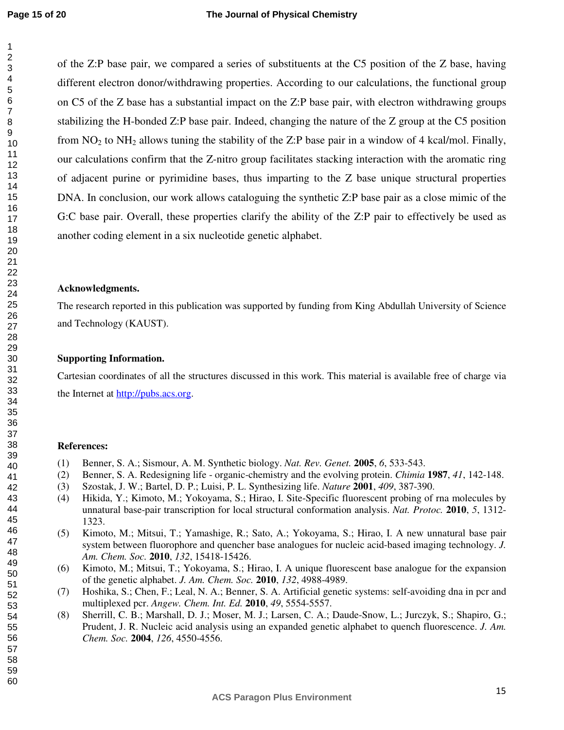of the Z:P base pair, we compared a series of substituents at the C5 position of the Z base, having different electron donor/withdrawing properties. According to our calculations, the functional group on C5 of the Z base has a substantial impact on the Z:P base pair, with electron withdrawing groups stabilizing the H-bonded Z:P base pair. Indeed, changing the nature of the Z group at the C5 position from  $NO<sub>2</sub>$  to  $NH<sub>2</sub>$  allows tuning the stability of the Z:P base pair in a window of 4 kcal/mol. Finally, our calculations confirm that the Z-nitro group facilitates stacking interaction with the aromatic ring of adjacent purine or pyrimidine bases, thus imparting to the Z base unique structural properties DNA. In conclusion, our work allows cataloguing the synthetic Z:P base pair as a close mimic of the G:C base pair. Overall, these properties clarify the ability of the Z:P pair to effectively be used as another coding element in a six nucleotide genetic alphabet.

#### **Acknowledgments.**

The research reported in this publication was supported by funding from King Abdullah University of Science and Technology (KAUST).

#### **Supporting Information.**

Cartesian coordinates of all the structures discussed in this work. This material is available free of charge via the Internet at http://pubs.acs.org.

#### **References:**

- (1) Benner, S. A.; Sismour, A. M. Synthetic biology. *Nat. Rev. Genet.* **2005**, *6*, 533-543.
- (2) Benner, S. A. Redesigning life organic-chemistry and the evolving protein. *Chimia* **1987**, *41*, 142-148.
- (3) Szostak, J. W.; Bartel, D. P.; Luisi, P. L. Synthesizing life. *Nature* **2001**, *409*, 387-390.
- (4) Hikida, Y.; Kimoto, M.; Yokoyama, S.; Hirao, I. Site-Specific fluorescent probing of rna molecules by unnatural base-pair transcription for local structural conformation analysis. *Nat. Protoc.* **2010**, *5*, 1312- 1323.
- (5) Kimoto, M.; Mitsui, T.; Yamashige, R.; Sato, A.; Yokoyama, S.; Hirao, I. A new unnatural base pair system between fluorophore and quencher base analogues for nucleic acid-based imaging technology. *J. Am. Chem. Soc.* **2010**, *132*, 15418-15426.
- (6) Kimoto, M.; Mitsui, T.; Yokoyama, S.; Hirao, I. A unique fluorescent base analogue for the expansion of the genetic alphabet. *J. Am. Chem. Soc.* **2010**, *132*, 4988-4989.
- (7) Hoshika, S.; Chen, F.; Leal, N. A.; Benner, S. A. Artificial genetic systems: self-avoiding dna in pcr and multiplexed pcr. *Angew. Chem. Int. Ed.* **2010**, *49*, 5554-5557.
- (8) Sherrill, C. B.; Marshall, D. J.; Moser, M. J.; Larsen, C. A.; Daude-Snow, L.; Jurczyk, S.; Shapiro, G.; Prudent, J. R. Nucleic acid analysis using an expanded genetic alphabet to quench fluorescence. *J. Am. Chem. Soc.* **2004**, *126*, 4550-4556.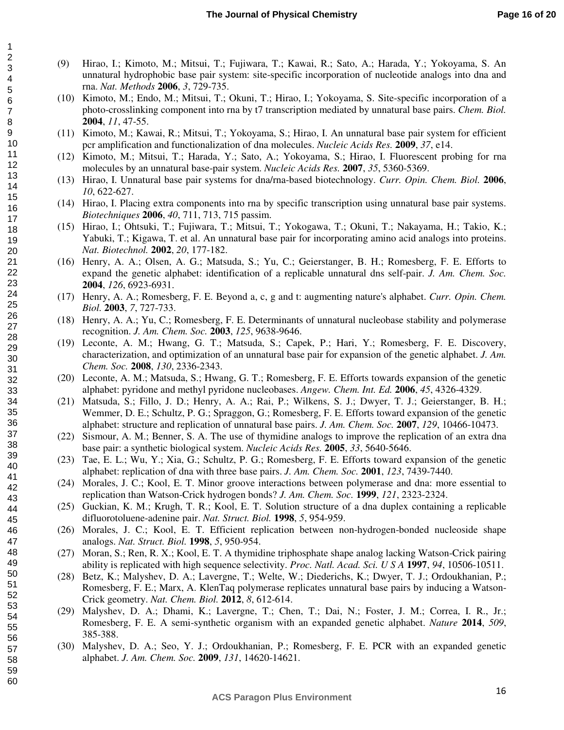- (9) Hirao, I.; Kimoto, M.; Mitsui, T.; Fujiwara, T.; Kawai, R.; Sato, A.; Harada, Y.; Yokoyama, S. An unnatural hydrophobic base pair system: site-specific incorporation of nucleotide analogs into dna and rna. *Nat. Methods* **2006**, *3*, 729-735.
- (10) Kimoto, M.; Endo, M.; Mitsui, T.; Okuni, T.; Hirao, I.; Yokoyama, S. Site-specific incorporation of a photo-crosslinking component into rna by t7 transcription mediated by unnatural base pairs. *Chem. Biol.* **2004**, *11*, 47-55.
- (11) Kimoto, M.; Kawai, R.; Mitsui, T.; Yokoyama, S.; Hirao, I. An unnatural base pair system for efficient pcr amplification and functionalization of dna molecules. *Nucleic Acids Res.* **2009**, *37*, e14.
- (12) Kimoto, M.; Mitsui, T.; Harada, Y.; Sato, A.; Yokoyama, S.; Hirao, I. Fluorescent probing for rna molecules by an unnatural base-pair system. *Nucleic Acids Res.* **2007**, *35*, 5360-5369.
- (13) Hirao, I. Unnatural base pair systems for dna/rna-based biotechnology. *Curr. Opin. Chem. Biol.* **2006**, *10*, 622-627.
- (14) Hirao, I. Placing extra components into rna by specific transcription using unnatural base pair systems. *Biotechniques* **2006**, *40*, 711, 713, 715 passim.
- (15) Hirao, I.; Ohtsuki, T.; Fujiwara, T.; Mitsui, T.; Yokogawa, T.; Okuni, T.; Nakayama, H.; Takio, K.; Yabuki, T.; Kigawa, T. et al. An unnatural base pair for incorporating amino acid analogs into proteins. *Nat. Biotechnol.* **2002**, *20*, 177-182.
- (16) Henry, A. A.; Olsen, A. G.; Matsuda, S.; Yu, C.; Geierstanger, B. H.; Romesberg, F. E. Efforts to expand the genetic alphabet: identification of a replicable unnatural dns self-pair. *J. Am. Chem. Soc.* **2004**, *126*, 6923-6931.
- (17) Henry, A. A.; Romesberg, F. E. Beyond a, c, g and t: augmenting nature's alphabet. *Curr. Opin. Chem. Biol.* **2003**, *7*, 727-733.
- (18) Henry, A. A.; Yu, C.; Romesberg, F. E. Determinants of unnatural nucleobase stability and polymerase recognition. *J. Am. Chem. Soc.* **2003**, *125*, 9638-9646.
- (19) Leconte, A. M.; Hwang, G. T.; Matsuda, S.; Capek, P.; Hari, Y.; Romesberg, F. E. Discovery, characterization, and optimization of an unnatural base pair for expansion of the genetic alphabet. *J. Am. Chem. Soc.* **2008**, *130*, 2336-2343.
- (20) Leconte, A. M.; Matsuda, S.; Hwang, G. T.; Romesberg, F. E. Efforts towards expansion of the genetic alphabet: pyridone and methyl pyridone nucleobases. *Angew. Chem. Int. Ed.* **2006**, *45*, 4326-4329.
- (21) Matsuda, S.; Fillo, J. D.; Henry, A. A.; Rai, P.; Wilkens, S. J.; Dwyer, T. J.; Geierstanger, B. H.; Wemmer, D. E.; Schultz, P. G.; Spraggon, G.; Romesberg, F. E. Efforts toward expansion of the genetic alphabet: structure and replication of unnatural base pairs. *J. Am. Chem. Soc.* **2007**, *129*, 10466-10473.
- (22) Sismour, A. M.; Benner, S. A. The use of thymidine analogs to improve the replication of an extra dna base pair: a synthetic biological system. *Nucleic Acids Res.* **2005**, *33*, 5640-5646.
- (23) Tae, E. L.; Wu, Y.; Xia, G.; Schultz, P. G.; Romesberg, F. E. Efforts toward expansion of the genetic alphabet: replication of dna with three base pairs. *J. Am. Chem. Soc.* **2001**, *123*, 7439-7440.
- (24) Morales, J. C.; Kool, E. T. Minor groove interactions between polymerase and dna: more essential to replication than Watson-Crick hydrogen bonds? *J. Am. Chem. Soc.* **1999**, *121*, 2323-2324.
- (25) Guckian, K. M.; Krugh, T. R.; Kool, E. T. Solution structure of a dna duplex containing a replicable difluorotoluene-adenine pair. *Nat. Struct. Biol.* **1998**, *5*, 954-959.
- (26) Morales, J. C.; Kool, E. T. Efficient replication between non-hydrogen-bonded nucleoside shape analogs. *Nat. Struct. Biol.* **1998**, *5*, 950-954.
- (27) Moran, S.; Ren, R. X.; Kool, E. T. A thymidine triphosphate shape analog lacking Watson-Crick pairing ability is replicated with high sequence selectivity. *Proc. Natl. Acad. Sci. U S A* **1997**, *94*, 10506-10511.
- (28) Betz, K.; Malyshev, D. A.; Lavergne, T.; Welte, W.; Diederichs, K.; Dwyer, T. J.; Ordoukhanian, P.; Romesberg, F. E.; Marx, A. KlenTaq polymerase replicates unnatural base pairs by inducing a Watson-Crick geometry. *Nat. Chem. Biol.* **2012**, *8*, 612-614.
- (29) Malyshev, D. A.; Dhami, K.; Lavergne, T.; Chen, T.; Dai, N.; Foster, J. M.; Correa, I. R., Jr.; Romesberg, F. E. A semi-synthetic organism with an expanded genetic alphabet. *Nature* **2014**, *509*, 385-388.
- (30) Malyshev, D. A.; Seo, Y. J.; Ordoukhanian, P.; Romesberg, F. E. PCR with an expanded genetic alphabet. *J. Am. Chem. Soc.* **2009**, *131*, 14620-14621.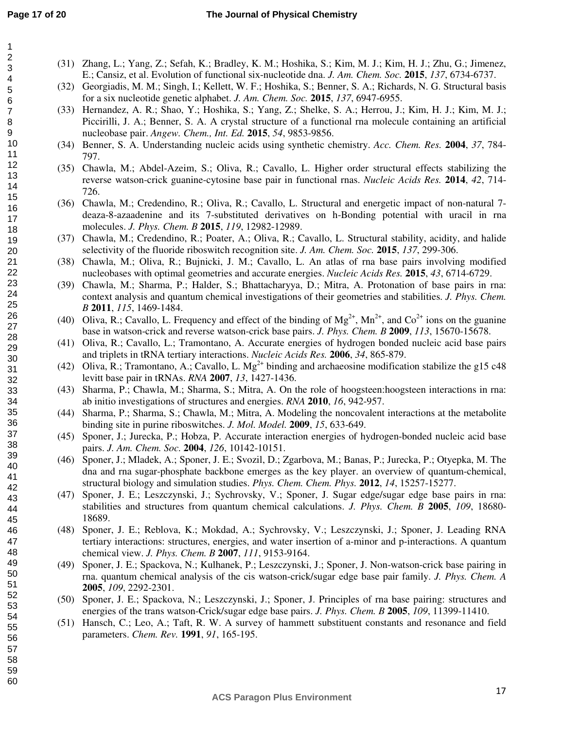- (31) Zhang, L.; Yang, Z.; Sefah, K.; Bradley, K. M.; Hoshika, S.; Kim, M. J.; Kim, H. J.; Zhu, G.; Jimenez, E.; Cansiz, et al. Evolution of functional six-nucleotide dna. *J. Am. Chem. Soc.* **2015**, *137*, 6734-6737.
	- (32) Georgiadis, M. M.; Singh, I.; Kellett, W. F.; Hoshika, S.; Benner, S. A.; Richards, N. G. Structural basis for a six nucleotide genetic alphabet. *J. Am. Chem. Soc.* **2015**, *137*, 6947-6955.
	- (33) Hernandez, A. R.; Shao, Y.; Hoshika, S.; Yang, Z.; Shelke, S. A.; Herrou, J.; Kim, H. J.; Kim, M. J.; Piccirilli, J. A.; Benner, S. A. A crystal structure of a functional rna molecule containing an artificial nucleobase pair. *Angew. Chem., Int. Ed.* **2015**, *54*, 9853-9856.
	- (34) Benner, S. A. Understanding nucleic acids using synthetic chemistry. *Acc. Chem. Res.* **2004**, *37*, 784- 797.
	- (35) Chawla, M.; Abdel-Azeim, S.; Oliva, R.; Cavallo, L. Higher order structural effects stabilizing the reverse watson-crick guanine-cytosine base pair in functional rnas. *Nucleic Acids Res.* **2014**, *42*, 714- 726.
	- (36) Chawla, M.; Credendino, R.; Oliva, R.; Cavallo, L. Structural and energetic impact of non-natural 7 deaza-8-azaadenine and its 7-substituted derivatives on h-Bonding potential with uracil in rna molecules. *J. Phys. Chem. B* **2015**, *119*, 12982-12989.
	- (37) Chawla, M.; Credendino, R.; Poater, A.; Oliva, R.; Cavallo, L. Structural stability, acidity, and halide selectivity of the fluoride riboswitch recognition site. *J. Am. Chem. Soc.* **2015**, *137*, 299-306.
	- (38) Chawla, M.; Oliva, R.; Bujnicki, J. M.; Cavallo, L. An atlas of rna base pairs involving modified nucleobases with optimal geometries and accurate energies. *Nucleic Acids Res.* **2015**, *43*, 6714-6729.
	- (39) Chawla, M.; Sharma, P.; Halder, S.; Bhattacharyya, D.; Mitra, A. Protonation of base pairs in rna: context analysis and quantum chemical investigations of their geometries and stabilities. *J. Phys. Chem. B* **2011**, *115*, 1469-1484.
	- (40) Oliva, R.; Cavallo, L. Frequency and effect of the binding of  $Mg^{2+}$ ,  $Mn^{2+}$ , and  $Co^{2+}$  ions on the guanine base in watson-crick and reverse watson-crick base pairs. *J. Phys. Chem. B* **2009**, *113*, 15670-15678.
	- (41) Oliva, R.; Cavallo, L.; Tramontano, A. Accurate energies of hydrogen bonded nucleic acid base pairs and triplets in tRNA tertiary interactions. *Nucleic Acids Res.* **2006**, *34*, 865-879.
	- (42) Oliva, R.; Tramontano, A.; Cavallo, L. Mg<sup>2+</sup> binding and archaeosine modification stabilize the g15 c48 levitt base pair in tRNAs. *RNA* **2007**, *13*, 1427-1436.
	- (43) Sharma, P.; Chawla, M.; Sharma, S.; Mitra, A. On the role of hoogsteen:hoogsteen interactions in rna: ab initio investigations of structures and energies. *RNA* **2010**, *16*, 942-957.
	- (44) Sharma, P.; Sharma, S.; Chawla, M.; Mitra, A. Modeling the noncovalent interactions at the metabolite binding site in purine riboswitches. *J. Mol. Model.* **2009**, *15*, 633-649.
	- (45) Sponer, J.; Jurecka, P.; Hobza, P. Accurate interaction energies of hydrogen-bonded nucleic acid base pairs. *J. Am. Chem. Soc.* **2004**, *126*, 10142-10151.
	- (46) Sponer, J.; Mladek, A.; Sponer, J. E.; Svozil, D.; Zgarbova, M.; Banas, P.; Jurecka, P.; Otyepka, M. The dna and rna sugar-phosphate backbone emerges as the key player. an overview of quantum-chemical, structural biology and simulation studies. *Phys. Chem. Chem. Phys.* **2012**, *14*, 15257-15277.
	- (47) Sponer, J. E.; Leszczynski, J.; Sychrovsky, V.; Sponer, J. Sugar edge/sugar edge base pairs in rna: stabilities and structures from quantum chemical calculations. *J. Phys. Chem. B* **2005**, *109*, 18680- 18689.
	- (48) Sponer, J. E.; Reblova, K.; Mokdad, A.; Sychrovsky, V.; Leszczynski, J.; Sponer, J. Leading RNA tertiary interactions: structures, energies, and water insertion of a-minor and p-interactions. A quantum chemical view. *J. Phys. Chem. B* **2007**, *111*, 9153-9164.
	- (49) Sponer, J. E.; Spackova, N.; Kulhanek, P.; Leszczynski, J.; Sponer, J. Non-watson-crick base pairing in rna. quantum chemical analysis of the cis watson-crick/sugar edge base pair family. *J. Phys. Chem. A* **2005**, *109*, 2292-2301.
	- (50) Sponer, J. E.; Spackova, N.; Leszczynski, J.; Sponer, J. Principles of rna base pairing: structures and energies of the trans watson-Crick/sugar edge base pairs. *J. Phys. Chem. B* **2005**, *109*, 11399-11410.
	- (51) Hansch, C.; Leo, A.; Taft, R. W. A survey of hammett substituent constants and resonance and field parameters. *Chem. Rev.* **1991**, *91*, 165-195.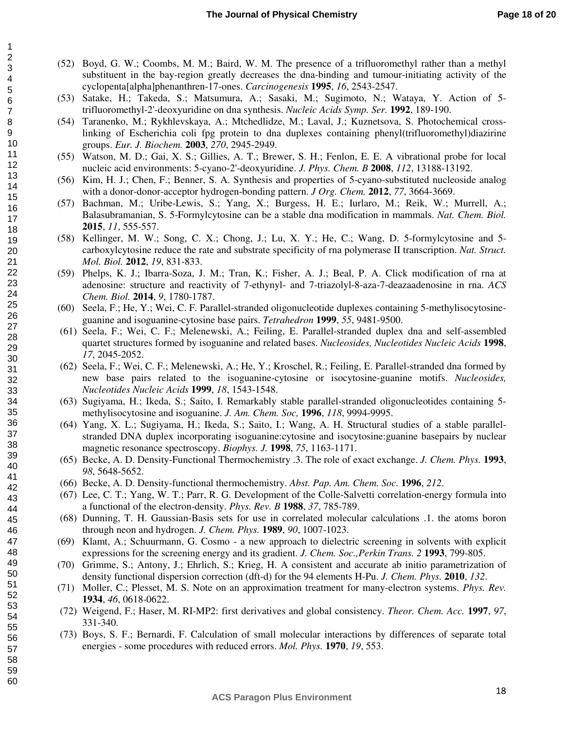- (52) Boyd, G. W.; Coombs, M. M.; Baird, W. M. The presence of a trifluoromethyl rather than a methyl substituent in the bay-region greatly decreases the dna-binding and tumour-initiating activity of the cyclopenta[alpha]phenanthren-17-ones. *Carcinogenesis* **1995**, *16*, 2543-2547.
- (53) Satake, H.; Takeda, S.; Matsumura, A.; Sasaki, M.; Sugimoto, N.; Wataya, Y. Action of 5 trifluoromethyl-2'-deoxyuridine on dna synthesis. *Nucleic Acids Symp. Ser.* **1992**, 189-190.
- (54) Taranenko, M.; Rykhlevskaya, A.; Mtchedlidze, M.; Laval, J.; Kuznetsova, S. Photochemical crosslinking of Escherichia coli fpg protein to dna duplexes containing phenyl(trifluoromethyl)diazirine groups. *Eur. J. Biochem.* **2003**, *270*, 2945-2949.
- (55) Watson, M. D.; Gai, X. S.; Gillies, A. T.; Brewer, S. H.; Fenlon, E. E. A vibrational probe for local nucleic acid environments: 5-cyano-2'-deoxyuridine. *J. Phys. Chem. B* **2008**, *112*, 13188-13192.
- (56) Kim, H. J.; Chen, F.; Benner, S. A. Synthesis and properties of 5-cyano-substituted nucleoside analog with a donor-donor-acceptor hydrogen-bonding pattern. *J Org. Chem.* **2012**, *77*, 3664-3669.
- (57) Bachman, M.; Uribe-Lewis, S.; Yang, X.; Burgess, H. E.; Iurlaro, M.; Reik, W.; Murrell, A.; Balasubramanian, S. 5-Formylcytosine can be a stable dna modification in mammals. *Nat. Chem. Biol.* **2015**, *11*, 555-557.
- (58) Kellinger, M. W.; Song, C. X.; Chong, J.; Lu, X. Y.; He, C.; Wang, D. 5-formylcytosine and 5 carboxylcytosine reduce the rate and substrate specificity of rna polymerase II transcription. *Nat. Struct. Mol. Biol.* **2012**, *19*, 831-833.
- (59) Phelps, K. J.; Ibarra-Soza, J. M.; Tran, K.; Fisher, A. J.; Beal, P. A. Click modification of rna at adenosine: structure and reactivity of 7-ethynyl- and 7-triazolyl-8-aza-7-deazaadenosine in rna. *ACS Chem. Biol.* **2014**, *9*, 1780-1787.
- (60) Seela, F.; He, Y.; Wei, C. F. Parallel-stranded oligonucleotide duplexes containing 5-methylisocytosineguanine and isoguanine-cytosine base pairs. *Tetrahedron* **1999**, *55*, 9481-9500.
- (61) Seela, F.; Wei, C. F.; Melenewski, A.; Feiling, E. Parallel-stranded duplex dna and self-assembled quartet structures formed by isoguanine and related bases. *Nucleosides, Nucleotides Nucleic Acids* **1998**, *17*, 2045-2052.
- (62) Seela, F.; Wei, C. F.; Melenewski, A.; He, Y.; Kroschel, R.; Feiling, E. Parallel-stranded dna formed by new base pairs related to the isoguanine-cytosine or isocytosine-guanine motifs. *Nucleosides, Nucleotides Nucleic Acids* **1999**, *18*, 1543-1548.
- (63) Sugiyama, H.; Ikeda, S.; Saito, I. Remarkably stable parallel-stranded oligonucleotides containing 5 methylisocytosine and isoguanine. *J. Am. Chem. Soc,* **1996**, *118*, 9994-9995.
- (64) Yang, X. L.; Sugiyama, H.; Ikeda, S.; Saito, I.; Wang, A. H. Structural studies of a stable parallelstranded DNA duplex incorporating isoguanine:cytosine and isocytosine:guanine basepairs by nuclear magnetic resonance spectroscopy. *Biophys. J.* **1998**, *75*, 1163-1171.
- (65) Becke, A. D. Density-Functional Thermochemistry .3. The role of exact exchange. *J. Chem. Phys.* **1993**, *98*, 5648-5652.
- (66) Becke, A. D. Density-functional thermochemistry. *Abst. Pap. Am. Chem. Soc.* **1996**, *212*.
- (67) Lee, C. T.; Yang, W. T.; Parr, R. G. Development of the Colle-Salvetti correlation-energy formula into a functional of the electron-density. *Phys. Rev. B* **1988**, *37*, 785-789.
- (68) Dunning, T. H. Gaussian-Basis sets for use in correlated molecular calculations .1. the atoms boron through neon and hydrogen. *J. Chem. Phys.* **1989**, *90*, 1007-1023.
- (69) Klamt, A.; Schuurmann, G. Cosmo a new approach to dielectric screening in solvents with explicit expressions for the screening energy and its gradient. *J. Chem. Soc.,Perkin Trans. 2* **1993**, 799-805.
- (70) Grimme, S.; Antony, J.; Ehrlich, S.; Krieg, H. A consistent and accurate ab initio parametrization of density functional dispersion correction (dft-d) for the 94 elements H-Pu. *J. Chem. Phys.* **2010**, *132*.
- (71) Moller, C.; Plesset, M. S. Note on an approximation treatment for many-electron systems. *Phys. Rev.* **1934**, *46*, 0618-0622.
- (72) Weigend, F.; Haser, M. RI-MP2: first derivatives and global consistency. *Theor. Chem. Acc.* **1997**, *97*, 331-340.
- (73) Boys, S. F.; Bernardi, F. Calculation of small molecular interactions by differences of separate total energies - some procedures with reduced errors. *Mol. Phys.* **1970**, *19*, 553.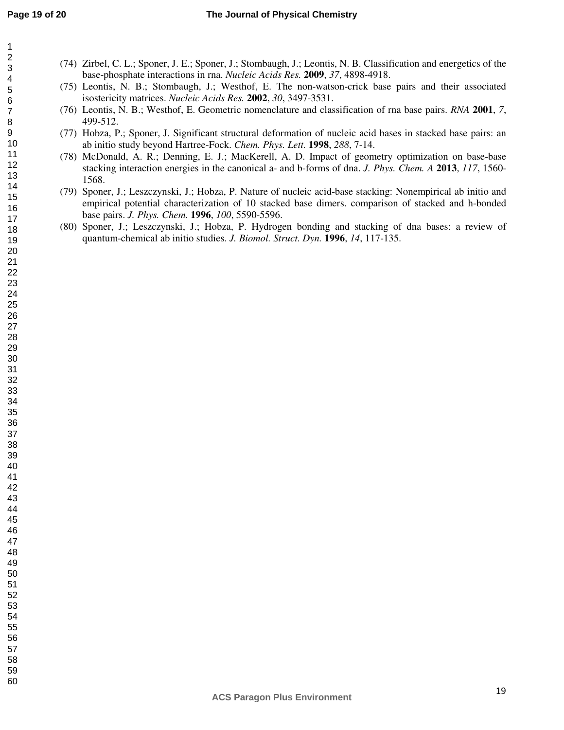- (74) Zirbel, C. L.; Sponer, J. E.; Sponer, J.; Stombaugh, J.; Leontis, N. B. Classification and energetics of the base-phosphate interactions in rna. *Nucleic Acids Res.* **2009**, *37*, 4898-4918.
	- (75) Leontis, N. B.; Stombaugh, J.; Westhof, E. The non-watson-crick base pairs and their associated isostericity matrices. *Nucleic Acids Res.* **2002**, *30*, 3497-3531.
	- (76) Leontis, N. B.; Westhof, E. Geometric nomenclature and classification of rna base pairs. *RNA* **2001**, *7*, 499-512.
	- (77) Hobza, P.; Sponer, J. Significant structural deformation of nucleic acid bases in stacked base pairs: an ab initio study beyond Hartree-Fock. *Chem. Phys. Lett.* **1998**, *288*, 7-14.
	- (78) McDonald, A. R.; Denning, E. J.; MacKerell, A. D. Impact of geometry optimization on base-base stacking interaction energies in the canonical a- and b-forms of dna. *J. Phys. Chem. A* **2013**, *117*, 1560- 1568.
	- (79) Sponer, J.; Leszczynski, J.; Hobza, P. Nature of nucleic acid-base stacking: Nonempirical ab initio and empirical potential characterization of 10 stacked base dimers. comparison of stacked and h-bonded base pairs. *J. Phys. Chem.* **1996**, *100*, 5590-5596.
	- (80) Sponer, J.; Leszczynski, J.; Hobza, P. Hydrogen bonding and stacking of dna bases: a review of quantum-chemical ab initio studies. *J. Biomol. Struct. Dyn.* **1996**, *14*, 117-135.